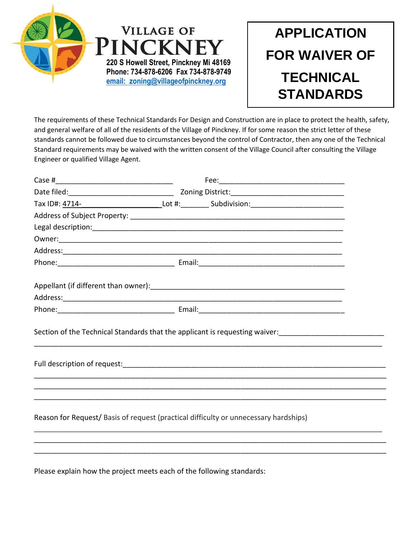



The requirements of these Technical Standards For Design and Construction are in place to protect the health, safety, and general welfare of all of the residents of the Village of Pinckney. If for some reason the strict letter of these standards cannot be followed due to circumstances beyond the control of Contractor, then any one of the Technical Standard requirements may be waived with the written consent of the Village Council after consulting the Village Engineer or qualified Village Agent.

|  | Reason for Request/Basis of request (practical difficulty or unnecessary hardships) |
|--|-------------------------------------------------------------------------------------|
|  |                                                                                     |
|  |                                                                                     |

Please explain how the project meets each of the following standards: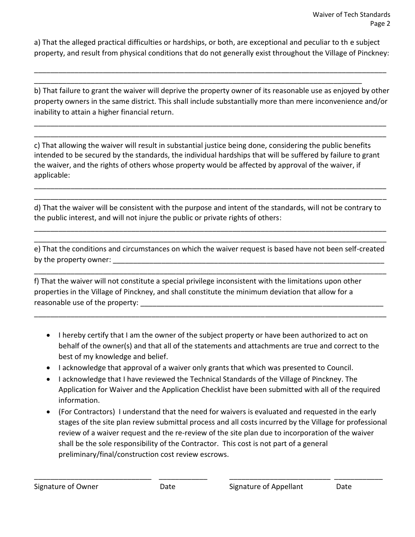a) That the alleged practical difficulties or hardships, or both, are exceptional and peculiar to th e subject property, and result from physical conditions that do not generally exist throughout the Village of Pinckney:

\_\_\_\_\_\_\_\_\_\_\_\_\_\_\_\_\_\_\_\_\_\_\_\_\_\_\_\_\_\_\_\_\_\_\_\_\_\_\_\_\_\_\_\_\_\_\_\_\_\_\_\_\_\_\_\_\_\_\_\_\_\_\_\_\_\_\_\_\_\_\_\_\_\_\_\_\_\_\_\_\_\_\_\_\_\_\_

\_\_\_\_\_\_\_\_\_\_\_\_\_\_\_\_\_\_\_\_\_\_\_\_\_\_\_\_\_\_\_\_\_\_\_\_\_\_\_\_\_\_\_\_\_\_\_\_\_\_\_\_\_\_\_\_\_\_\_\_\_\_\_\_\_\_\_\_\_\_\_\_\_\_\_\_\_\_\_\_\_

b) That failure to grant the waiver will deprive the property owner of its reasonable use as enjoyed by other property owners in the same district. This shall include substantially more than mere inconvenience and/or inability to attain a higher financial return.

\_\_\_\_\_\_\_\_\_\_\_\_\_\_\_\_\_\_\_\_\_\_\_\_\_\_\_\_\_\_\_\_\_\_\_\_\_\_\_\_\_\_\_\_\_\_\_\_\_\_\_\_\_\_\_\_\_\_\_\_\_\_\_\_\_\_\_\_\_\_\_\_\_\_\_\_\_\_\_\_\_\_\_\_\_\_\_ \_\_\_\_\_\_\_\_\_\_\_\_\_\_\_\_\_\_\_\_\_\_\_\_\_\_\_\_\_\_\_\_\_\_\_\_\_\_\_\_\_\_\_\_\_\_\_\_\_\_\_\_\_\_\_\_\_\_\_\_\_\_\_\_\_\_\_\_\_\_\_\_\_\_\_\_\_\_\_\_\_\_\_\_\_\_\_

c) That allowing the waiver will result in substantial justice being done, considering the public benefits intended to be secured by the standards, the individual hardships that will be suffered by failure to grant the waiver, and the rights of others whose property would be affected by approval of the waiver, if applicable:

d) That the waiver will be consistent with the purpose and intent of the standards, will not be contrary to the public interest, and will not injure the public or private rights of others:

\_\_\_\_\_\_\_\_\_\_\_\_\_\_\_\_\_\_\_\_\_\_\_\_\_\_\_\_\_\_\_\_\_\_\_\_\_\_\_\_\_\_\_\_\_\_\_\_\_\_\_\_\_\_\_\_\_\_\_\_\_\_\_\_\_\_\_\_\_\_\_\_\_\_\_\_\_\_\_\_\_\_\_\_\_\_\_ \_\_\_\_\_\_\_\_\_\_\_\_\_\_\_\_\_\_\_\_\_\_\_\_\_\_\_\_\_\_\_\_\_\_\_\_\_\_\_\_\_\_\_\_\_\_\_\_\_\_\_\_\_\_\_\_\_\_\_\_\_\_\_\_\_\_\_\_\_\_\_\_\_\_\_\_\_\_\_\_\_\_\_\_\_\_\_

\_\_\_\_\_\_\_\_\_\_\_\_\_\_\_\_\_\_\_\_\_\_\_\_\_\_\_\_\_\_\_\_\_\_\_\_\_\_\_\_\_\_\_\_\_\_\_\_\_\_\_\_\_\_\_\_\_\_\_\_\_\_\_\_\_\_\_\_\_\_\_\_\_\_\_\_\_\_\_\_\_\_\_\_\_\_\_ \_\_\_\_\_\_\_\_\_\_\_\_\_\_\_\_\_\_\_\_\_\_\_\_\_\_\_\_\_\_\_\_\_\_\_\_\_\_\_\_\_\_\_\_\_\_\_\_\_\_\_\_\_\_\_\_\_\_\_\_\_\_\_\_\_\_\_\_\_\_\_\_\_\_\_\_\_\_\_\_\_\_\_\_\_\_\_

e) That the conditions and circumstances on which the waiver request is based have not been self-created by the property owner:  $\Box$ 

\_\_\_\_\_\_\_\_\_\_\_\_\_\_\_\_\_\_\_\_\_\_\_\_\_\_\_\_\_\_\_\_\_\_\_\_\_\_\_\_\_\_\_\_\_\_\_\_\_\_\_\_\_\_\_\_\_\_\_\_\_\_\_\_\_\_\_\_\_\_\_\_\_\_\_\_\_\_\_\_\_\_\_\_\_\_\_

\_\_\_\_\_\_\_\_\_\_\_\_\_\_\_\_\_\_\_\_\_\_\_\_\_\_\_\_\_\_\_\_\_\_\_\_\_\_\_\_\_\_\_\_\_\_\_\_\_\_\_\_\_\_\_\_\_\_\_\_\_\_\_\_\_\_\_\_\_\_\_\_\_\_\_\_\_\_\_\_\_\_\_\_\_\_\_

f) That the waiver will not constitute a special privilege inconsistent with the limitations upon other properties in the Village of Pinckney, and shall constitute the minimum deviation that allow for a reasonable use of the property: \_\_\_\_\_\_\_\_\_\_\_\_\_\_\_\_\_\_\_\_\_\_\_\_\_\_\_\_\_\_\_\_\_\_\_\_\_\_\_\_\_\_\_\_\_\_\_\_\_\_\_\_\_\_\_\_\_\_\_\_

- I hereby certify that I am the owner of the subject property or have been authorized to act on behalf of the owner(s) and that all of the statements and attachments are true and correct to the best of my knowledge and belief.
- I acknowledge that approval of a waiver only grants that which was presented to Council.
- I acknowledge that I have reviewed the Technical Standards of the Village of Pinckney. The Application for Waiver and the Application Checklist have been submitted with all of the required information.
- (For Contractors) I understand that the need for waivers is evaluated and requested in the early stages of the site plan review submittal process and all costs incurred by the Village for professional review of a waiver request and the re-review of the site plan due to incorporation of the waiver shall be the sole responsibility of the Contractor. This cost is not part of a general preliminary/final/construction cost review escrows.

\_\_\_\_\_\_\_\_\_\_\_\_\_\_\_\_\_\_\_\_\_\_\_\_\_\_\_\_\_ \_\_\_\_\_\_\_\_\_\_\_\_ \_\_\_\_\_\_\_\_\_\_\_\_\_\_\_\_\_\_\_\_\_\_\_\_\_ \_\_\_\_\_\_\_\_\_\_\_\_